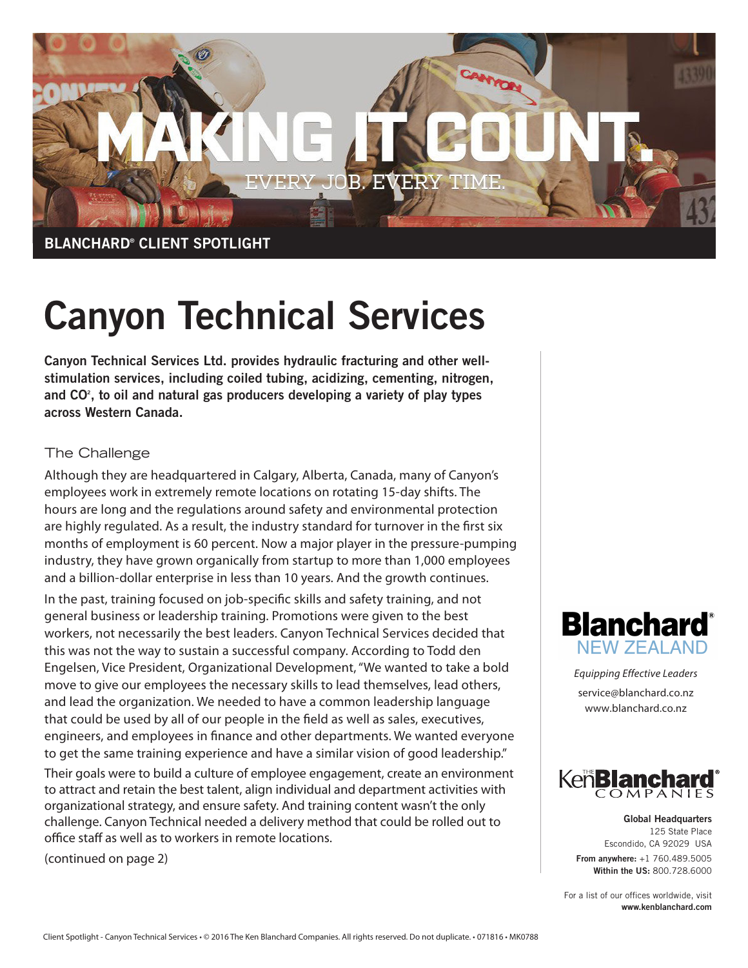

## Canyon Technical Services

Canyon Technical Services Ltd. provides hydraulic fracturing and other wellstimulation services, including coiled tubing, acidizing, cementing, nitrogen, and  $CO<sup>2</sup>$ , to oil and natural gas producers developing a variety of play types across Western Canada.

## The Challenge

Although they are headquartered in Calgary, Alberta, Canada, many of Canyon's employees work in extremely remote locations on rotating 15-day shifts. The hours are long and the regulations around safety and environmental protection are highly regulated. As a result, the industry standard for turnover in the first six months of employment is 60 percent. Now a major player in the pressure-pumping industry, they have grown organically from startup to more than 1,000 employees and a billion-dollar enterprise in less than 10 years. And the growth continues.

In the past, training focused on job-specific skills and safety training, and not general business or leadership training. Promotions were given to the best workers, not necessarily the best leaders. Canyon Technical Services decided that this was not the way to sustain a successful company. According to Todd den Engelsen, Vice President, Organizational Development, "We wanted to take a bold move to give our employees the necessary skills to lead themselves, lead others, and lead the organization. We needed to have a common leadership language that could be used by all of our people in the field as well as sales, executives, engineers, and employees in finance and other departments. We wanted everyone to get the same training experience and have a similar vision of good leadership."

Their goals were to build a culture of employee engagement, create an environment to attract and retain the best talent, align individual and department activities with organizational strategy, and ensure safety. And training content wasn't the only challenge. Canyon Technical needed a delivery method that could be rolled out to office staff as well as to workers in remote locations.

(continued on page 2)



Equipping Effective Leaders service@blanchard.co.nz www.blanchard.co.nz



Global Headquarters 125 State Place Escondido, CA 92029 USA From anywhere: +1 760.489.5005 Within the US: 800.728.6000

For a list of our offices worldwide, visit www.kenblanchard.com